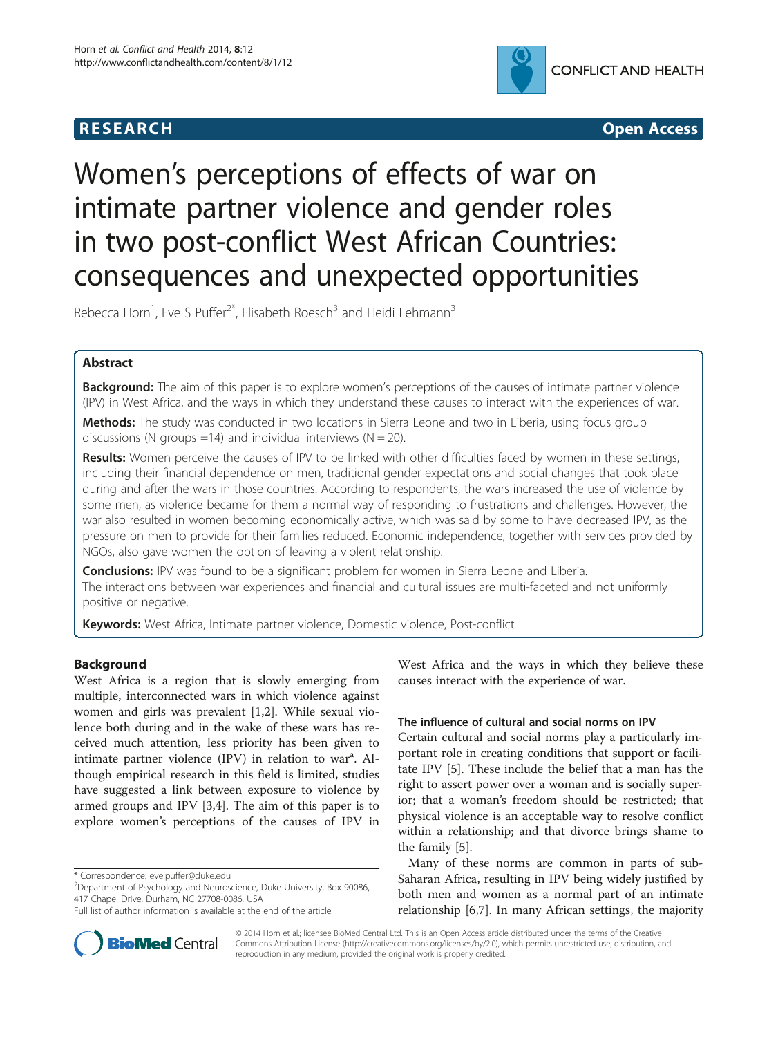# **RESEARCH RESEARCH CONSUMING ACCESS**



# Women's perceptions of effects of war on intimate partner violence and gender roles in two post-conflict West African Countries: consequences and unexpected opportunities

Rebecca Horn<sup>1</sup>, Eve S Puffer<sup>2\*</sup>, Elisabeth Roesch<sup>3</sup> and Heidi Lehmann<sup>3</sup>

# Abstract

Background: The aim of this paper is to explore women's perceptions of the causes of intimate partner violence (IPV) in West Africa, and the ways in which they understand these causes to interact with the experiences of war.

Methods: The study was conducted in two locations in Sierra Leone and two in Liberia, using focus group discussions (N groups =14) and individual interviews ( $N = 20$ ).

Results: Women perceive the causes of IPV to be linked with other difficulties faced by women in these settings, including their financial dependence on men, traditional gender expectations and social changes that took place during and after the wars in those countries. According to respondents, the wars increased the use of violence by some men, as violence became for them a normal way of responding to frustrations and challenges. However, the war also resulted in women becoming economically active, which was said by some to have decreased IPV, as the pressure on men to provide for their families reduced. Economic independence, together with services provided by NGOs, also gave women the option of leaving a violent relationship.

**Conclusions:** IPV was found to be a significant problem for women in Sierra Leone and Liberia. The interactions between war experiences and financial and cultural issues are multi-faceted and not uniformly positive or negative.

Keywords: West Africa, Intimate partner violence, Domestic violence, Post-conflict

# Background

West Africa is a region that is slowly emerging from multiple, interconnected wars in which violence against women and girls was prevalent [\[1,2](#page-11-0)]. While sexual violence both during and in the wake of these wars has received much attention, less priority has been given to intimate partner violence (IPV) in relation to war<sup>a</sup>. Although empirical research in this field is limited, studies have suggested a link between exposure to violence by armed groups and IPV [[3,4\]](#page-11-0). The aim of this paper is to explore women's perceptions of the causes of IPV in

\* Correspondence: [eve.puffer@duke.edu](mailto:eve.puffer@duke.edu) <sup>2</sup>

<sup>2</sup>Department of Psychology and Neuroscience, Duke University, Box 90086, 417 Chapel Drive, Durham, NC 27708-0086, USA



## The influence of cultural and social norms on IPV

Certain cultural and social norms play a particularly important role in creating conditions that support or facilitate IPV [\[5](#page-11-0)]. These include the belief that a man has the right to assert power over a woman and is socially superior; that a woman's freedom should be restricted; that physical violence is an acceptable way to resolve conflict within a relationship; and that divorce brings shame to the family [[5\]](#page-11-0).

Many of these norms are common in parts of sub-Saharan Africa, resulting in IPV being widely justified by both men and women as a normal part of an intimate relationship [\[6](#page-11-0),[7](#page-11-0)]. In many African settings, the majority



© 2014 Horn et al.; licensee BioMed Central Ltd. This is an Open Access article distributed under the terms of the Creative Commons Attribution License [\(http://creativecommons.org/licenses/by/2.0\)](http://creativecommons.org/licenses/by/2.0), which permits unrestricted use, distribution, and reproduction in any medium, provided the original work is properly credited.

Full list of author information is available at the end of the article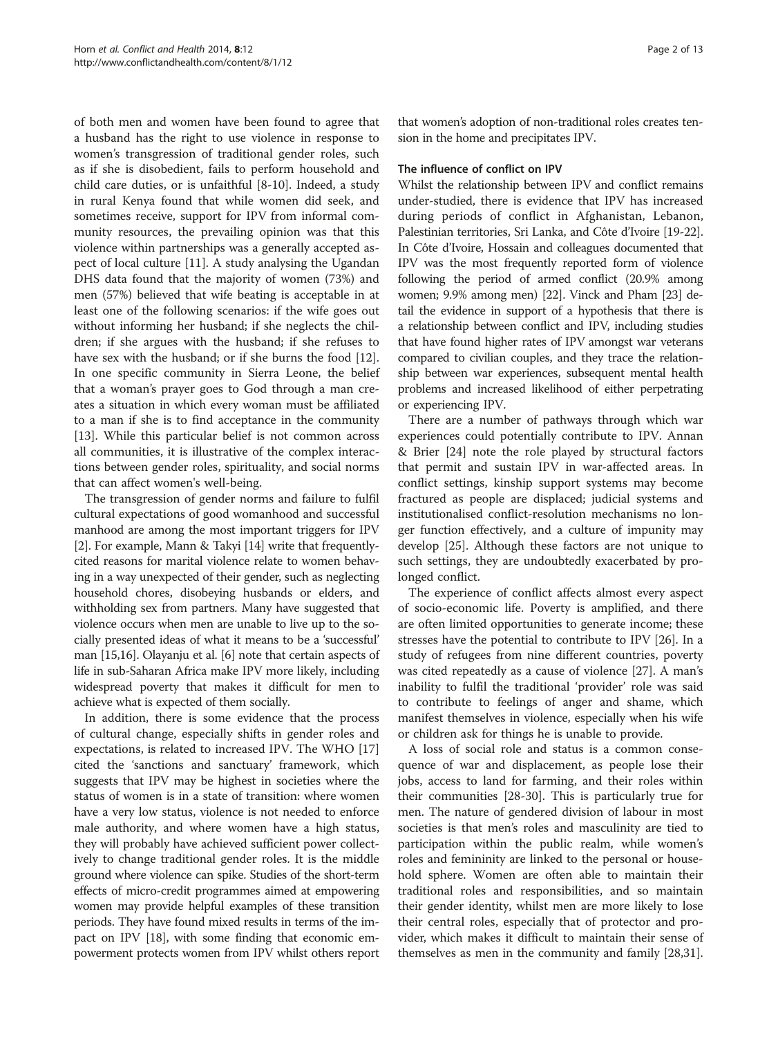of both men and women have been found to agree that a husband has the right to use violence in response to women's transgression of traditional gender roles, such as if she is disobedient, fails to perform household and child care duties, or is unfaithful [[8-10](#page-11-0)]. Indeed, a study in rural Kenya found that while women did seek, and sometimes receive, support for IPV from informal community resources, the prevailing opinion was that this violence within partnerships was a generally accepted aspect of local culture [[11\]](#page-11-0). A study analysing the Ugandan DHS data found that the majority of women (73%) and men (57%) believed that wife beating is acceptable in at least one of the following scenarios: if the wife goes out without informing her husband; if she neglects the children; if she argues with the husband; if she refuses to have sex with the husband; or if she burns the food [\[12](#page-12-0)]. In one specific community in Sierra Leone, the belief that a woman's prayer goes to God through a man creates a situation in which every woman must be affiliated to a man if she is to find acceptance in the community [[13\]](#page-12-0). While this particular belief is not common across all communities, it is illustrative of the complex interactions between gender roles, spirituality, and social norms that can affect women's well-being.

The transgression of gender norms and failure to fulfil cultural expectations of good womanhood and successful manhood are among the most important triggers for IPV [[2\]](#page-11-0). For example, Mann & Takyi [\[14\]](#page-12-0) write that frequentlycited reasons for marital violence relate to women behaving in a way unexpected of their gender, such as neglecting household chores, disobeying husbands or elders, and withholding sex from partners. Many have suggested that violence occurs when men are unable to live up to the socially presented ideas of what it means to be a 'successful' man [\[15,16](#page-12-0)]. Olayanju et al. [\[6](#page-11-0)] note that certain aspects of life in sub-Saharan Africa make IPV more likely, including widespread poverty that makes it difficult for men to achieve what is expected of them socially.

In addition, there is some evidence that the process of cultural change, especially shifts in gender roles and expectations, is related to increased IPV. The WHO [[17](#page-12-0)] cited the 'sanctions and sanctuary' framework, which suggests that IPV may be highest in societies where the status of women is in a state of transition: where women have a very low status, violence is not needed to enforce male authority, and where women have a high status, they will probably have achieved sufficient power collectively to change traditional gender roles. It is the middle ground where violence can spike. Studies of the short-term effects of micro-credit programmes aimed at empowering women may provide helpful examples of these transition periods. They have found mixed results in terms of the impact on IPV [[18](#page-12-0)], with some finding that economic empowerment protects women from IPV whilst others report

that women's adoption of non-traditional roles creates tension in the home and precipitates IPV.

#### The influence of conflict on IPV

Whilst the relationship between IPV and conflict remains under-studied, there is evidence that IPV has increased during periods of conflict in Afghanistan, Lebanon, Palestinian territories, Sri Lanka, and Côte d'Ivoire [\[19-22](#page-12-0)]. In Côte d'Ivoire, Hossain and colleagues documented that IPV was the most frequently reported form of violence following the period of armed conflict (20.9% among women; 9.9% among men) [\[22\]](#page-12-0). Vinck and Pham [[23](#page-12-0)] detail the evidence in support of a hypothesis that there is a relationship between conflict and IPV, including studies that have found higher rates of IPV amongst war veterans compared to civilian couples, and they trace the relationship between war experiences, subsequent mental health problems and increased likelihood of either perpetrating or experiencing IPV.

There are a number of pathways through which war experiences could potentially contribute to IPV. Annan & Brier [\[24](#page-12-0)] note the role played by structural factors that permit and sustain IPV in war-affected areas. In conflict settings, kinship support systems may become fractured as people are displaced; judicial systems and institutionalised conflict-resolution mechanisms no longer function effectively, and a culture of impunity may develop [[25\]](#page-12-0). Although these factors are not unique to such settings, they are undoubtedly exacerbated by prolonged conflict.

The experience of conflict affects almost every aspect of socio-economic life. Poverty is amplified, and there are often limited opportunities to generate income; these stresses have the potential to contribute to IPV [\[26](#page-12-0)]. In a study of refugees from nine different countries, poverty was cited repeatedly as a cause of violence [[27\]](#page-12-0). A man's inability to fulfil the traditional 'provider' role was said to contribute to feelings of anger and shame, which manifest themselves in violence, especially when his wife or children ask for things he is unable to provide.

A loss of social role and status is a common consequence of war and displacement, as people lose their jobs, access to land for farming, and their roles within their communities [[28-30](#page-12-0)]. This is particularly true for men. The nature of gendered division of labour in most societies is that men's roles and masculinity are tied to participation within the public realm, while women's roles and femininity are linked to the personal or household sphere. Women are often able to maintain their traditional roles and responsibilities, and so maintain their gender identity, whilst men are more likely to lose their central roles, especially that of protector and provider, which makes it difficult to maintain their sense of themselves as men in the community and family [\[28,31](#page-12-0)].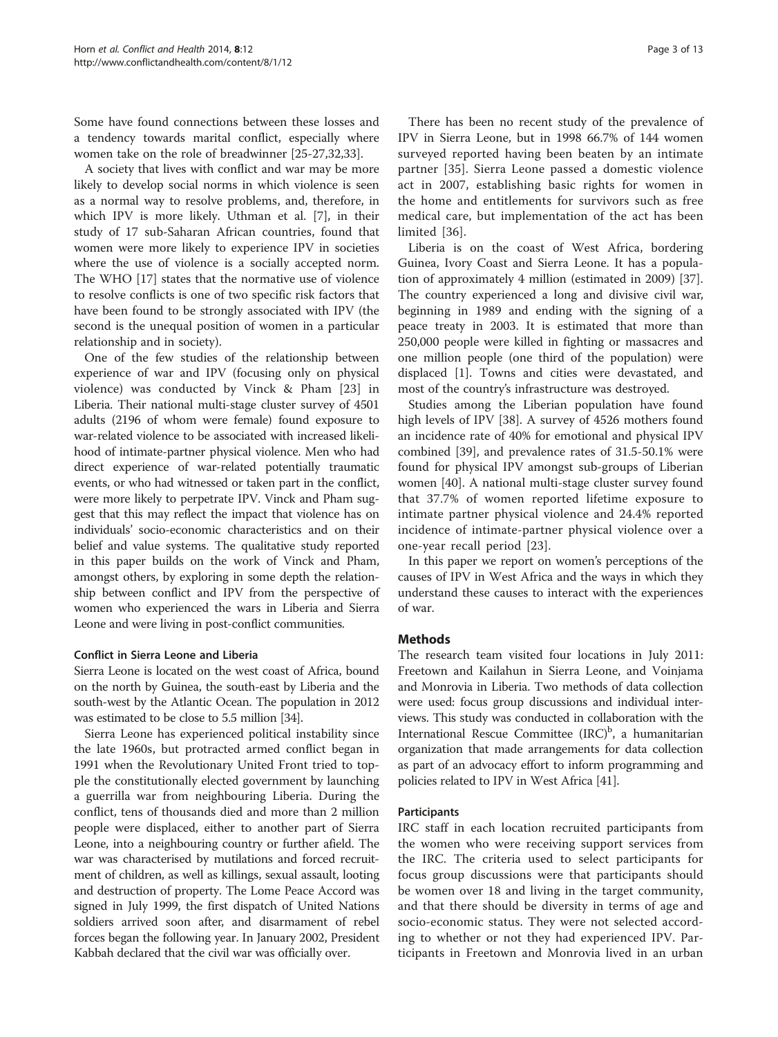Some have found connections between these losses and a tendency towards marital conflict, especially where women take on the role of breadwinner [[25-27,32,33\]](#page-12-0).

A society that lives with conflict and war may be more likely to develop social norms in which violence is seen as a normal way to resolve problems, and, therefore, in which IPV is more likely. Uthman et al. [[7\]](#page-11-0), in their study of 17 sub-Saharan African countries, found that women were more likely to experience IPV in societies where the use of violence is a socially accepted norm. The WHO [\[17](#page-12-0)] states that the normative use of violence to resolve conflicts is one of two specific risk factors that have been found to be strongly associated with IPV (the second is the unequal position of women in a particular relationship and in society).

One of the few studies of the relationship between experience of war and IPV (focusing only on physical violence) was conducted by Vinck & Pham [\[23](#page-12-0)] in Liberia. Their national multi-stage cluster survey of 4501 adults (2196 of whom were female) found exposure to war-related violence to be associated with increased likelihood of intimate-partner physical violence. Men who had direct experience of war-related potentially traumatic events, or who had witnessed or taken part in the conflict, were more likely to perpetrate IPV. Vinck and Pham suggest that this may reflect the impact that violence has on individuals' socio-economic characteristics and on their belief and value systems. The qualitative study reported in this paper builds on the work of Vinck and Pham, amongst others, by exploring in some depth the relationship between conflict and IPV from the perspective of women who experienced the wars in Liberia and Sierra Leone and were living in post-conflict communities.

## Conflict in Sierra Leone and Liberia

Sierra Leone is located on the west coast of Africa, bound on the north by Guinea, the south-east by Liberia and the south-west by the Atlantic Ocean. The population in 2012 was estimated to be close to 5.5 million [[34](#page-12-0)].

Sierra Leone has experienced political instability since the late 1960s, but protracted armed conflict began in 1991 when the Revolutionary United Front tried to topple the constitutionally elected government by launching a guerrilla war from neighbouring Liberia. During the conflict, tens of thousands died and more than 2 million people were displaced, either to another part of Sierra Leone, into a neighbouring country or further afield. The war was characterised by mutilations and forced recruitment of children, as well as killings, sexual assault, looting and destruction of property. The Lome Peace Accord was signed in July 1999, the first dispatch of United Nations soldiers arrived soon after, and disarmament of rebel forces began the following year. In January 2002, President Kabbah declared that the civil war was officially over.

There has been no recent study of the prevalence of IPV in Sierra Leone, but in 1998 66.7% of 144 women surveyed reported having been beaten by an intimate partner [[35](#page-12-0)]. Sierra Leone passed a domestic violence act in 2007, establishing basic rights for women in the home and entitlements for survivors such as free medical care, but implementation of the act has been limited [[36\]](#page-12-0).

Liberia is on the coast of West Africa, bordering Guinea, Ivory Coast and Sierra Leone. It has a population of approximately 4 million (estimated in 2009) [\[37](#page-12-0)]. The country experienced a long and divisive civil war, beginning in 1989 and ending with the signing of a peace treaty in 2003. It is estimated that more than 250,000 people were killed in fighting or massacres and one million people (one third of the population) were displaced [\[1](#page-11-0)]. Towns and cities were devastated, and most of the country's infrastructure was destroyed.

Studies among the Liberian population have found high levels of IPV [[38\]](#page-12-0). A survey of 4526 mothers found an incidence rate of 40% for emotional and physical IPV combined [[39\]](#page-12-0), and prevalence rates of 31.5-50.1% were found for physical IPV amongst sub-groups of Liberian women [[40\]](#page-12-0). A national multi-stage cluster survey found that 37.7% of women reported lifetime exposure to intimate partner physical violence and 24.4% reported incidence of intimate-partner physical violence over a one-year recall period [\[23\]](#page-12-0).

In this paper we report on women's perceptions of the causes of IPV in West Africa and the ways in which they understand these causes to interact with the experiences of war.

## **Methods**

The research team visited four locations in July 2011: Freetown and Kailahun in Sierra Leone, and Voinjama and Monrovia in Liberia. Two methods of data collection were used: focus group discussions and individual interviews. This study was conducted in collaboration with the International Rescue Committee (IRC)<sup>b</sup>, a humanitarian organization that made arrangements for data collection as part of an advocacy effort to inform programming and policies related to IPV in West Africa [[41](#page-12-0)].

#### Participants

IRC staff in each location recruited participants from the women who were receiving support services from the IRC. The criteria used to select participants for focus group discussions were that participants should be women over 18 and living in the target community, and that there should be diversity in terms of age and socio-economic status. They were not selected according to whether or not they had experienced IPV. Participants in Freetown and Monrovia lived in an urban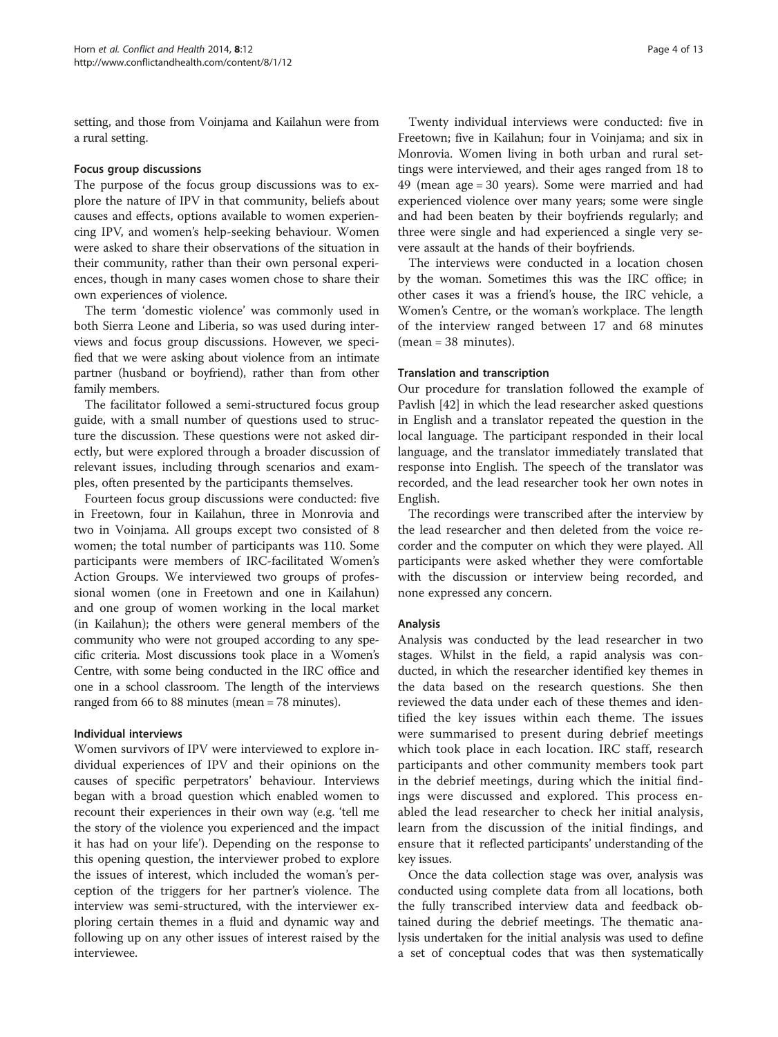setting, and those from Voinjama and Kailahun were from a rural setting.

#### Focus group discussions

The purpose of the focus group discussions was to explore the nature of IPV in that community, beliefs about causes and effects, options available to women experiencing IPV, and women's help-seeking behaviour. Women were asked to share their observations of the situation in their community, rather than their own personal experiences, though in many cases women chose to share their own experiences of violence.

The term 'domestic violence' was commonly used in both Sierra Leone and Liberia, so was used during interviews and focus group discussions. However, we specified that we were asking about violence from an intimate partner (husband or boyfriend), rather than from other family members.

The facilitator followed a semi-structured focus group guide, with a small number of questions used to structure the discussion. These questions were not asked directly, but were explored through a broader discussion of relevant issues, including through scenarios and examples, often presented by the participants themselves.

Fourteen focus group discussions were conducted: five in Freetown, four in Kailahun, three in Monrovia and two in Voinjama. All groups except two consisted of 8 women; the total number of participants was 110. Some participants were members of IRC-facilitated Women's Action Groups. We interviewed two groups of professional women (one in Freetown and one in Kailahun) and one group of women working in the local market (in Kailahun); the others were general members of the community who were not grouped according to any specific criteria. Most discussions took place in a Women's Centre, with some being conducted in the IRC office and one in a school classroom. The length of the interviews ranged from 66 to 88 minutes (mean = 78 minutes).

#### Individual interviews

Women survivors of IPV were interviewed to explore individual experiences of IPV and their opinions on the causes of specific perpetrators' behaviour. Interviews began with a broad question which enabled women to recount their experiences in their own way (e.g. 'tell me the story of the violence you experienced and the impact it has had on your life'). Depending on the response to this opening question, the interviewer probed to explore the issues of interest, which included the woman's perception of the triggers for her partner's violence. The interview was semi-structured, with the interviewer exploring certain themes in a fluid and dynamic way and following up on any other issues of interest raised by the interviewee.

Twenty individual interviews were conducted: five in Freetown; five in Kailahun; four in Voinjama; and six in Monrovia. Women living in both urban and rural settings were interviewed, and their ages ranged from 18 to 49 (mean age = 30 years). Some were married and had experienced violence over many years; some were single and had been beaten by their boyfriends regularly; and three were single and had experienced a single very severe assault at the hands of their boyfriends.

The interviews were conducted in a location chosen by the woman. Sometimes this was the IRC office; in other cases it was a friend's house, the IRC vehicle, a Women's Centre, or the woman's workplace. The length of the interview ranged between 17 and 68 minutes  $(mean = 38 minutes)$ .

#### Translation and transcription

Our procedure for translation followed the example of Pavlish [\[42](#page-12-0)] in which the lead researcher asked questions in English and a translator repeated the question in the local language. The participant responded in their local language, and the translator immediately translated that response into English. The speech of the translator was recorded, and the lead researcher took her own notes in English.

The recordings were transcribed after the interview by the lead researcher and then deleted from the voice recorder and the computer on which they were played. All participants were asked whether they were comfortable with the discussion or interview being recorded, and none expressed any concern.

## Analysis

Analysis was conducted by the lead researcher in two stages. Whilst in the field, a rapid analysis was conducted, in which the researcher identified key themes in the data based on the research questions. She then reviewed the data under each of these themes and identified the key issues within each theme. The issues were summarised to present during debrief meetings which took place in each location. IRC staff, research participants and other community members took part in the debrief meetings, during which the initial findings were discussed and explored. This process enabled the lead researcher to check her initial analysis, learn from the discussion of the initial findings, and ensure that it reflected participants' understanding of the key issues.

Once the data collection stage was over, analysis was conducted using complete data from all locations, both the fully transcribed interview data and feedback obtained during the debrief meetings. The thematic analysis undertaken for the initial analysis was used to define a set of conceptual codes that was then systematically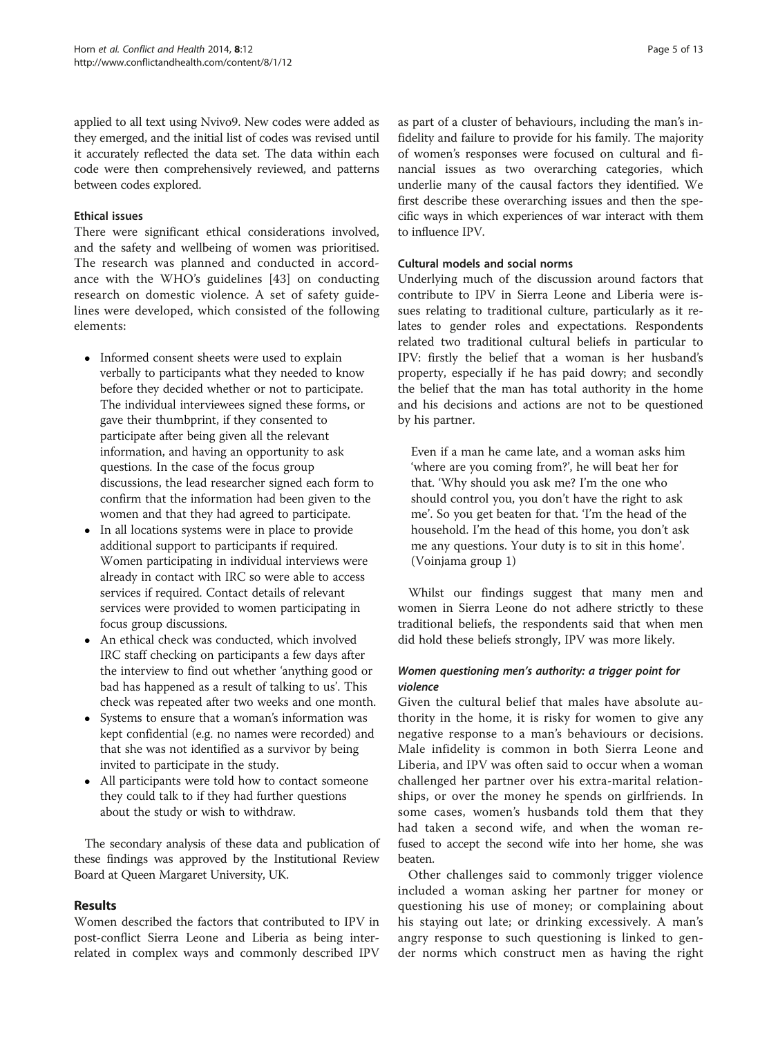applied to all text using Nvivo9. New codes were added as they emerged, and the initial list of codes was revised until it accurately reflected the data set. The data within each code were then comprehensively reviewed, and patterns between codes explored.

# Ethical issues

There were significant ethical considerations involved, and the safety and wellbeing of women was prioritised. The research was planned and conducted in accordance with the WHO's guidelines [\[43](#page-12-0)] on conducting research on domestic violence. A set of safety guidelines were developed, which consisted of the following elements:

- Informed consent sheets were used to explain verbally to participants what they needed to know before they decided whether or not to participate. The individual interviewees signed these forms, or gave their thumbprint, if they consented to participate after being given all the relevant information, and having an opportunity to ask questions. In the case of the focus group discussions, the lead researcher signed each form to confirm that the information had been given to the women and that they had agreed to participate.
- In all locations systems were in place to provide additional support to participants if required. Women participating in individual interviews were already in contact with IRC so were able to access services if required. Contact details of relevant services were provided to women participating in focus group discussions.
- An ethical check was conducted, which involved IRC staff checking on participants a few days after the interview to find out whether 'anything good or bad has happened as a result of talking to us'. This check was repeated after two weeks and one month.
- Systems to ensure that a woman's information was kept confidential (e.g. no names were recorded) and that she was not identified as a survivor by being invited to participate in the study.
- All participants were told how to contact someone they could talk to if they had further questions about the study or wish to withdraw.

The secondary analysis of these data and publication of these findings was approved by the Institutional Review Board at Queen Margaret University, UK.

# Results

Women described the factors that contributed to IPV in post-conflict Sierra Leone and Liberia as being interrelated in complex ways and commonly described IPV

as part of a cluster of behaviours, including the man's infidelity and failure to provide for his family. The majority of women's responses were focused on cultural and financial issues as two overarching categories, which underlie many of the causal factors they identified. We first describe these overarching issues and then the specific ways in which experiences of war interact with them to influence IPV.

## Cultural models and social norms

Underlying much of the discussion around factors that contribute to IPV in Sierra Leone and Liberia were issues relating to traditional culture, particularly as it relates to gender roles and expectations. Respondents related two traditional cultural beliefs in particular to IPV: firstly the belief that a woman is her husband's property, especially if he has paid dowry; and secondly the belief that the man has total authority in the home and his decisions and actions are not to be questioned by his partner.

Even if a man he came late, and a woman asks him 'where are you coming from?', he will beat her for that. 'Why should you ask me? I'm the one who should control you, you don't have the right to ask me'. So you get beaten for that. 'I'm the head of the household. I'm the head of this home, you don't ask me any questions. Your duty is to sit in this home'. (Voinjama group 1)

Whilst our findings suggest that many men and women in Sierra Leone do not adhere strictly to these traditional beliefs, the respondents said that when men did hold these beliefs strongly, IPV was more likely.

# Women questioning men's authority: a trigger point for violence

Given the cultural belief that males have absolute authority in the home, it is risky for women to give any negative response to a man's behaviours or decisions. Male infidelity is common in both Sierra Leone and Liberia, and IPV was often said to occur when a woman challenged her partner over his extra-marital relationships, or over the money he spends on girlfriends. In some cases, women's husbands told them that they had taken a second wife, and when the woman refused to accept the second wife into her home, she was beaten.

Other challenges said to commonly trigger violence included a woman asking her partner for money or questioning his use of money; or complaining about his staying out late; or drinking excessively. A man's angry response to such questioning is linked to gender norms which construct men as having the right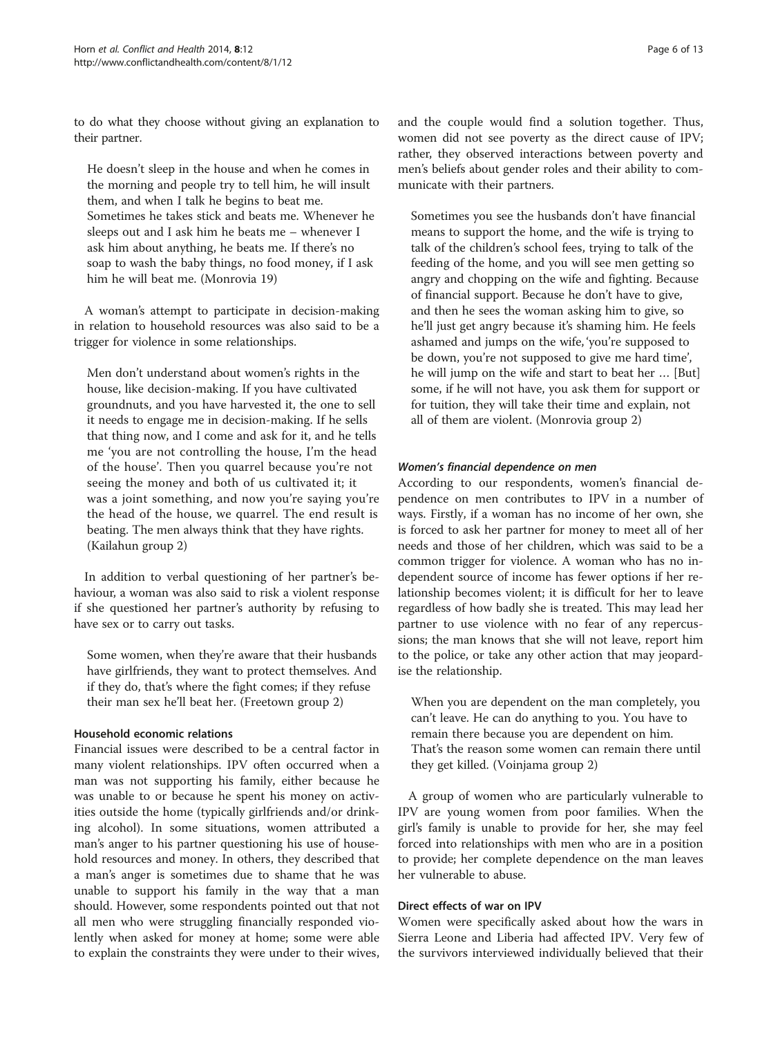to do what they choose without giving an explanation to their partner.

He doesn't sleep in the house and when he comes in the morning and people try to tell him, he will insult them, and when I talk he begins to beat me. Sometimes he takes stick and beats me. Whenever he sleeps out and I ask him he beats me – whenever I ask him about anything, he beats me. If there's no soap to wash the baby things, no food money, if I ask him he will beat me. (Monrovia 19)

A woman's attempt to participate in decision-making in relation to household resources was also said to be a trigger for violence in some relationships.

Men don't understand about women's rights in the house, like decision-making. If you have cultivated groundnuts, and you have harvested it, the one to sell it needs to engage me in decision-making. If he sells that thing now, and I come and ask for it, and he tells me 'you are not controlling the house, I'm the head of the house'. Then you quarrel because you're not seeing the money and both of us cultivated it; it was a joint something, and now you're saying you're the head of the house, we quarrel. The end result is beating. The men always think that they have rights. (Kailahun group 2)

In addition to verbal questioning of her partner's behaviour, a woman was also said to risk a violent response if she questioned her partner's authority by refusing to have sex or to carry out tasks.

Some women, when they're aware that their husbands have girlfriends, they want to protect themselves. And if they do, that's where the fight comes; if they refuse their man sex he'll beat her. (Freetown group 2)

# Household economic relations

Financial issues were described to be a central factor in many violent relationships. IPV often occurred when a man was not supporting his family, either because he was unable to or because he spent his money on activities outside the home (typically girlfriends and/or drinking alcohol). In some situations, women attributed a man's anger to his partner questioning his use of household resources and money. In others, they described that a man's anger is sometimes due to shame that he was unable to support his family in the way that a man should. However, some respondents pointed out that not all men who were struggling financially responded violently when asked for money at home; some were able to explain the constraints they were under to their wives,

and the couple would find a solution together. Thus, women did not see poverty as the direct cause of IPV; rather, they observed interactions between poverty and men's beliefs about gender roles and their ability to communicate with their partners.

Sometimes you see the husbands don't have financial means to support the home, and the wife is trying to talk of the children's school fees, trying to talk of the feeding of the home, and you will see men getting so angry and chopping on the wife and fighting. Because of financial support. Because he don't have to give, and then he sees the woman asking him to give, so he'll just get angry because it's shaming him. He feels ashamed and jumps on the wife, 'you're supposed to be down, you're not supposed to give me hard time', he will jump on the wife and start to beat her … [But] some, if he will not have, you ask them for support or for tuition, they will take their time and explain, not all of them are violent. (Monrovia group 2)

#### Women's financial dependence on men

According to our respondents, women's financial dependence on men contributes to IPV in a number of ways. Firstly, if a woman has no income of her own, she is forced to ask her partner for money to meet all of her needs and those of her children, which was said to be a common trigger for violence. A woman who has no independent source of income has fewer options if her relationship becomes violent; it is difficult for her to leave regardless of how badly she is treated. This may lead her partner to use violence with no fear of any repercussions; the man knows that she will not leave, report him to the police, or take any other action that may jeopardise the relationship.

When you are dependent on the man completely, you can't leave. He can do anything to you. You have to remain there because you are dependent on him. That's the reason some women can remain there until they get killed. (Voinjama group 2)

A group of women who are particularly vulnerable to IPV are young women from poor families. When the girl's family is unable to provide for her, she may feel forced into relationships with men who are in a position to provide; her complete dependence on the man leaves her vulnerable to abuse.

#### Direct effects of war on IPV

Women were specifically asked about how the wars in Sierra Leone and Liberia had affected IPV. Very few of the survivors interviewed individually believed that their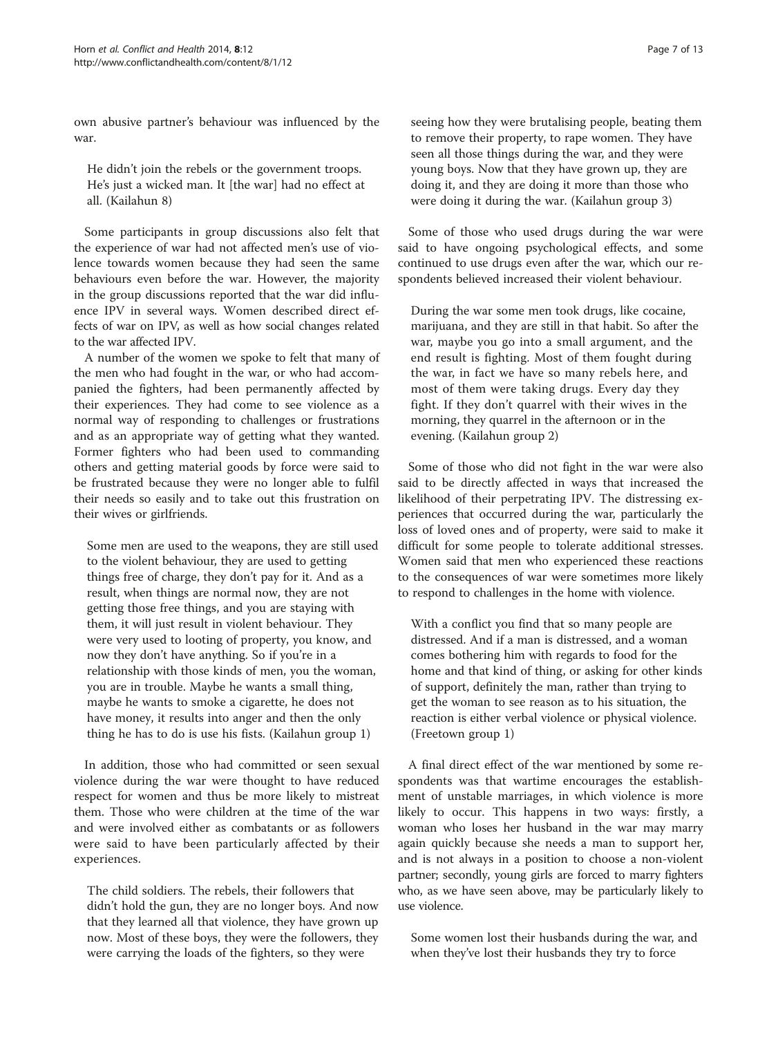own abusive partner's behaviour was influenced by the war.

He didn't join the rebels or the government troops. He's just a wicked man. It [the war] had no effect at all. (Kailahun 8)

Some participants in group discussions also felt that the experience of war had not affected men's use of violence towards women because they had seen the same behaviours even before the war. However, the majority in the group discussions reported that the war did influence IPV in several ways. Women described direct effects of war on IPV, as well as how social changes related to the war affected IPV.

A number of the women we spoke to felt that many of the men who had fought in the war, or who had accompanied the fighters, had been permanently affected by their experiences. They had come to see violence as a normal way of responding to challenges or frustrations and as an appropriate way of getting what they wanted. Former fighters who had been used to commanding others and getting material goods by force were said to be frustrated because they were no longer able to fulfil their needs so easily and to take out this frustration on their wives or girlfriends.

Some men are used to the weapons, they are still used to the violent behaviour, they are used to getting things free of charge, they don't pay for it. And as a result, when things are normal now, they are not getting those free things, and you are staying with them, it will just result in violent behaviour. They were very used to looting of property, you know, and now they don't have anything. So if you're in a relationship with those kinds of men, you the woman, you are in trouble. Maybe he wants a small thing, maybe he wants to smoke a cigarette, he does not have money, it results into anger and then the only thing he has to do is use his fists. (Kailahun group 1)

In addition, those who had committed or seen sexual violence during the war were thought to have reduced respect for women and thus be more likely to mistreat them. Those who were children at the time of the war and were involved either as combatants or as followers were said to have been particularly affected by their experiences.

The child soldiers. The rebels, their followers that didn't hold the gun, they are no longer boys. And now that they learned all that violence, they have grown up now. Most of these boys, they were the followers, they were carrying the loads of the fighters, so they were

seeing how they were brutalising people, beating them to remove their property, to rape women. They have seen all those things during the war, and they were young boys. Now that they have grown up, they are doing it, and they are doing it more than those who were doing it during the war. (Kailahun group 3)

Some of those who used drugs during the war were said to have ongoing psychological effects, and some continued to use drugs even after the war, which our respondents believed increased their violent behaviour.

During the war some men took drugs, like cocaine, marijuana, and they are still in that habit. So after the war, maybe you go into a small argument, and the end result is fighting. Most of them fought during the war, in fact we have so many rebels here, and most of them were taking drugs. Every day they fight. If they don't quarrel with their wives in the morning, they quarrel in the afternoon or in the evening. (Kailahun group 2)

Some of those who did not fight in the war were also said to be directly affected in ways that increased the likelihood of their perpetrating IPV. The distressing experiences that occurred during the war, particularly the loss of loved ones and of property, were said to make it difficult for some people to tolerate additional stresses. Women said that men who experienced these reactions to the consequences of war were sometimes more likely to respond to challenges in the home with violence.

With a conflict you find that so many people are distressed. And if a man is distressed, and a woman comes bothering him with regards to food for the home and that kind of thing, or asking for other kinds of support, definitely the man, rather than trying to get the woman to see reason as to his situation, the reaction is either verbal violence or physical violence. (Freetown group 1)

A final direct effect of the war mentioned by some respondents was that wartime encourages the establishment of unstable marriages, in which violence is more likely to occur. This happens in two ways: firstly, a woman who loses her husband in the war may marry again quickly because she needs a man to support her, and is not always in a position to choose a non-violent partner; secondly, young girls are forced to marry fighters who, as we have seen above, may be particularly likely to use violence.

Some women lost their husbands during the war, and when they've lost their husbands they try to force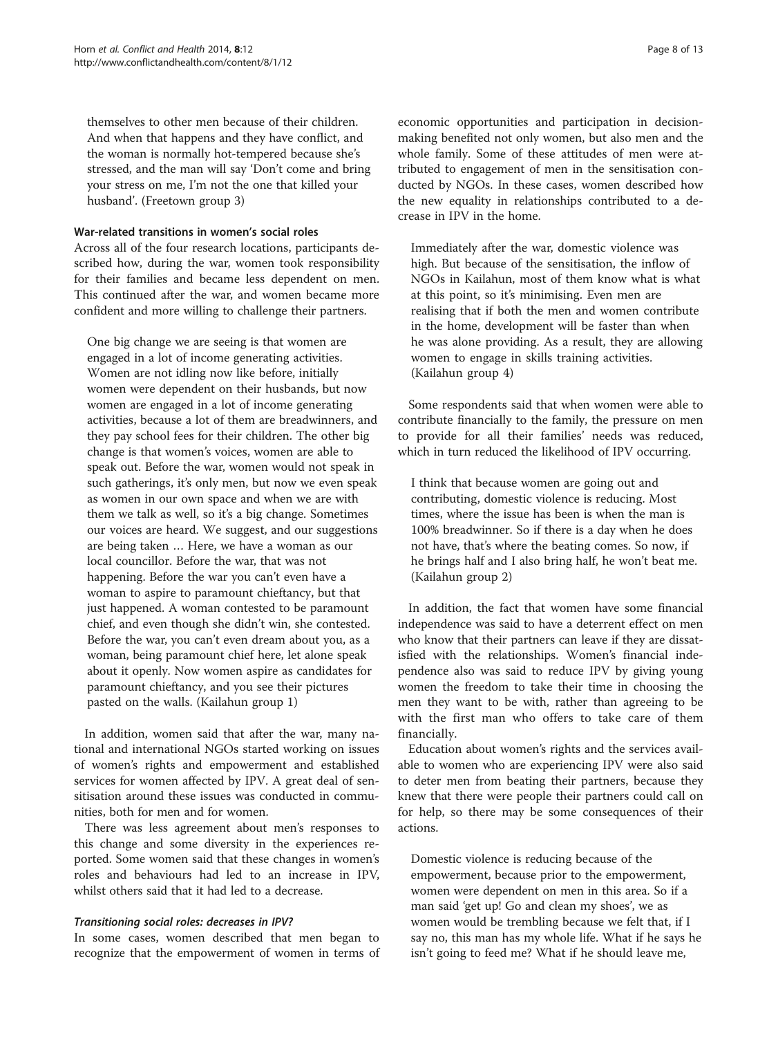themselves to other men because of their children. And when that happens and they have conflict, and the woman is normally hot-tempered because she's stressed, and the man will say 'Don't come and bring your stress on me, I'm not the one that killed your husband'. (Freetown group 3)

#### War-related transitions in women's social roles

Across all of the four research locations, participants described how, during the war, women took responsibility for their families and became less dependent on men. This continued after the war, and women became more confident and more willing to challenge their partners.

One big change we are seeing is that women are engaged in a lot of income generating activities. Women are not idling now like before, initially women were dependent on their husbands, but now women are engaged in a lot of income generating activities, because a lot of them are breadwinners, and they pay school fees for their children. The other big change is that women's voices, women are able to speak out. Before the war, women would not speak in such gatherings, it's only men, but now we even speak as women in our own space and when we are with them we talk as well, so it's a big change. Sometimes our voices are heard. We suggest, and our suggestions are being taken … Here, we have a woman as our local councillor. Before the war, that was not happening. Before the war you can't even have a woman to aspire to paramount chieftancy, but that just happened. A woman contested to be paramount chief, and even though she didn't win, she contested. Before the war, you can't even dream about you, as a woman, being paramount chief here, let alone speak about it openly. Now women aspire as candidates for paramount chieftancy, and you see their pictures pasted on the walls. (Kailahun group 1)

In addition, women said that after the war, many national and international NGOs started working on issues of women's rights and empowerment and established services for women affected by IPV. A great deal of sensitisation around these issues was conducted in communities, both for men and for women.

There was less agreement about men's responses to this change and some diversity in the experiences reported. Some women said that these changes in women's roles and behaviours had led to an increase in IPV, whilst others said that it had led to a decrease.

## Transitioning social roles: decreases in IPV?

In some cases, women described that men began to recognize that the empowerment of women in terms of economic opportunities and participation in decisionmaking benefited not only women, but also men and the whole family. Some of these attitudes of men were attributed to engagement of men in the sensitisation conducted by NGOs. In these cases, women described how the new equality in relationships contributed to a decrease in IPV in the home.

Immediately after the war, domestic violence was high. But because of the sensitisation, the inflow of NGOs in Kailahun, most of them know what is what at this point, so it's minimising. Even men are realising that if both the men and women contribute in the home, development will be faster than when he was alone providing. As a result, they are allowing women to engage in skills training activities. (Kailahun group 4)

Some respondents said that when women were able to contribute financially to the family, the pressure on men to provide for all their families' needs was reduced, which in turn reduced the likelihood of IPV occurring.

I think that because women are going out and contributing, domestic violence is reducing. Most times, where the issue has been is when the man is 100% breadwinner. So if there is a day when he does not have, that's where the beating comes. So now, if he brings half and I also bring half, he won't beat me. (Kailahun group 2)

In addition, the fact that women have some financial independence was said to have a deterrent effect on men who know that their partners can leave if they are dissatisfied with the relationships. Women's financial independence also was said to reduce IPV by giving young women the freedom to take their time in choosing the men they want to be with, rather than agreeing to be with the first man who offers to take care of them financially.

Education about women's rights and the services available to women who are experiencing IPV were also said to deter men from beating their partners, because they knew that there were people their partners could call on for help, so there may be some consequences of their actions.

Domestic violence is reducing because of the empowerment, because prior to the empowerment, women were dependent on men in this area. So if a man said 'get up! Go and clean my shoes', we as women would be trembling because we felt that, if I say no, this man has my whole life. What if he says he isn't going to feed me? What if he should leave me,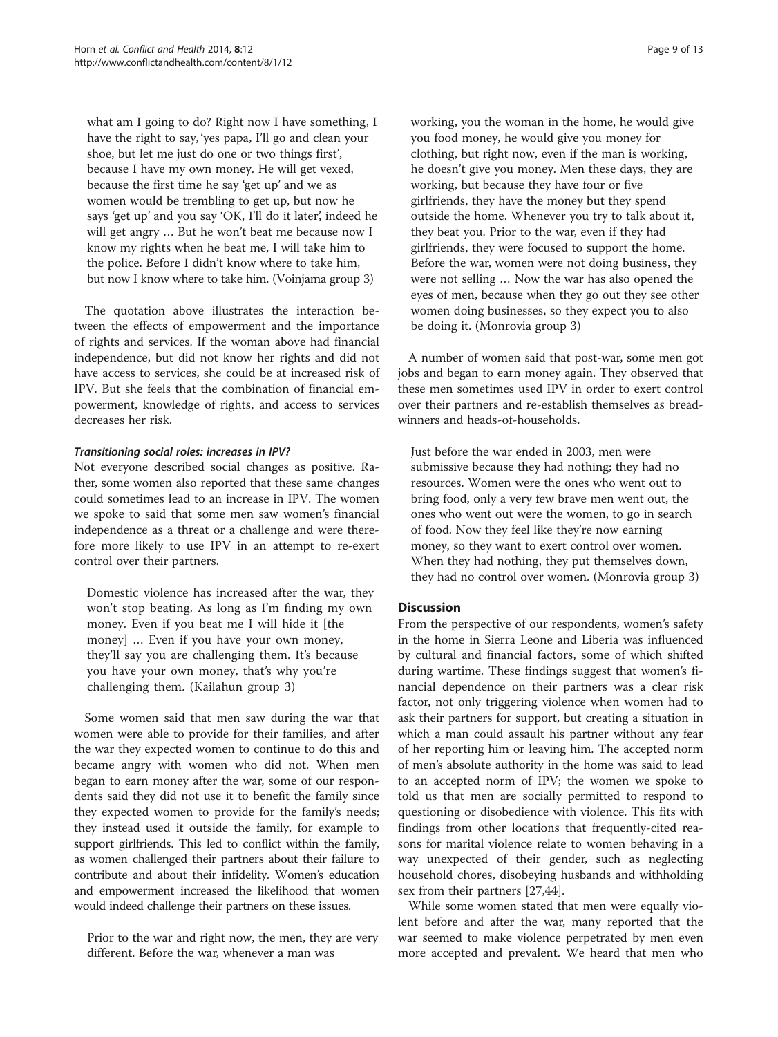what am I going to do? Right now I have something, I have the right to say, 'yes papa, I'll go and clean your shoe, but let me just do one or two things first', because I have my own money. He will get vexed, because the first time he say 'get up' and we as women would be trembling to get up, but now he says 'get up' and you say 'OK, I'll do it later', indeed he will get angry … But he won't beat me because now I know my rights when he beat me, I will take him to the police. Before I didn't know where to take him, but now I know where to take him. (Voinjama group 3)

The quotation above illustrates the interaction between the effects of empowerment and the importance of rights and services. If the woman above had financial independence, but did not know her rights and did not have access to services, she could be at increased risk of IPV. But she feels that the combination of financial empowerment, knowledge of rights, and access to services decreases her risk.

## Transitioning social roles: increases in IPV?

Not everyone described social changes as positive. Rather, some women also reported that these same changes could sometimes lead to an increase in IPV. The women we spoke to said that some men saw women's financial independence as a threat or a challenge and were therefore more likely to use IPV in an attempt to re-exert control over their partners.

Domestic violence has increased after the war, they won't stop beating. As long as I'm finding my own money. Even if you beat me I will hide it [the money] … Even if you have your own money, they'll say you are challenging them. It's because you have your own money, that's why you're challenging them. (Kailahun group 3)

Some women said that men saw during the war that women were able to provide for their families, and after the war they expected women to continue to do this and became angry with women who did not. When men began to earn money after the war, some of our respondents said they did not use it to benefit the family since they expected women to provide for the family's needs; they instead used it outside the family, for example to support girlfriends. This led to conflict within the family, as women challenged their partners about their failure to contribute and about their infidelity. Women's education and empowerment increased the likelihood that women would indeed challenge their partners on these issues.

Prior to the war and right now, the men, they are very different. Before the war, whenever a man was

working, you the woman in the home, he would give you food money, he would give you money for clothing, but right now, even if the man is working, he doesn't give you money. Men these days, they are working, but because they have four or five girlfriends, they have the money but they spend outside the home. Whenever you try to talk about it, they beat you. Prior to the war, even if they had girlfriends, they were focused to support the home. Before the war, women were not doing business, they were not selling … Now the war has also opened the eyes of men, because when they go out they see other women doing businesses, so they expect you to also be doing it. (Monrovia group 3)

A number of women said that post-war, some men got jobs and began to earn money again. They observed that these men sometimes used IPV in order to exert control over their partners and re-establish themselves as breadwinners and heads-of-households.

Just before the war ended in 2003, men were submissive because they had nothing; they had no resources. Women were the ones who went out to bring food, only a very few brave men went out, the ones who went out were the women, to go in search of food. Now they feel like they're now earning money, so they want to exert control over women. When they had nothing, they put themselves down, they had no control over women. (Monrovia group 3)

## **Discussion**

From the perspective of our respondents, women's safety in the home in Sierra Leone and Liberia was influenced by cultural and financial factors, some of which shifted during wartime. These findings suggest that women's financial dependence on their partners was a clear risk factor, not only triggering violence when women had to ask their partners for support, but creating a situation in which a man could assault his partner without any fear of her reporting him or leaving him. The accepted norm of men's absolute authority in the home was said to lead to an accepted norm of IPV; the women we spoke to told us that men are socially permitted to respond to questioning or disobedience with violence. This fits with findings from other locations that frequently-cited reasons for marital violence relate to women behaving in a way unexpected of their gender, such as neglecting household chores, disobeying husbands and withholding sex from their partners [\[27,44](#page-12-0)].

While some women stated that men were equally violent before and after the war, many reported that the war seemed to make violence perpetrated by men even more accepted and prevalent. We heard that men who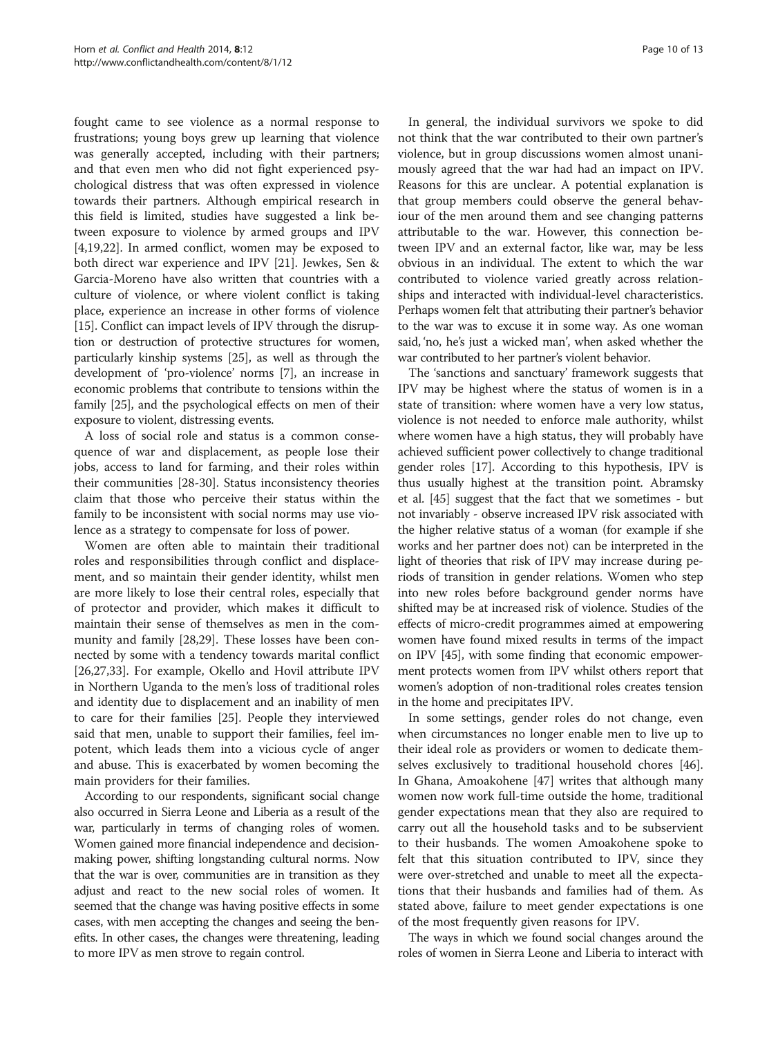fought came to see violence as a normal response to frustrations; young boys grew up learning that violence was generally accepted, including with their partners; and that even men who did not fight experienced psychological distress that was often expressed in violence towards their partners. Although empirical research in this field is limited, studies have suggested a link between exposure to violence by armed groups and IPV [[4,](#page-11-0)[19,22\]](#page-12-0). In armed conflict, women may be exposed to both direct war experience and IPV [[21\]](#page-12-0). Jewkes, Sen & Garcia-Moreno have also written that countries with a culture of violence, or where violent conflict is taking place, experience an increase in other forms of violence [[15](#page-12-0)]. Conflict can impact levels of IPV through the disruption or destruction of protective structures for women, particularly kinship systems [[25](#page-12-0)], as well as through the development of 'pro-violence' norms [\[7](#page-11-0)], an increase in economic problems that contribute to tensions within the family [[25](#page-12-0)], and the psychological effects on men of their exposure to violent, distressing events.

A loss of social role and status is a common consequence of war and displacement, as people lose their jobs, access to land for farming, and their roles within their communities [\[28](#page-12-0)-[30](#page-12-0)]. Status inconsistency theories claim that those who perceive their status within the family to be inconsistent with social norms may use violence as a strategy to compensate for loss of power.

Women are often able to maintain their traditional roles and responsibilities through conflict and displacement, and so maintain their gender identity, whilst men are more likely to lose their central roles, especially that of protector and provider, which makes it difficult to maintain their sense of themselves as men in the community and family [\[28,29](#page-12-0)]. These losses have been connected by some with a tendency towards marital conflict [[26,27,33\]](#page-12-0). For example, Okello and Hovil attribute IPV in Northern Uganda to the men's loss of traditional roles and identity due to displacement and an inability of men to care for their families [[25\]](#page-12-0). People they interviewed said that men, unable to support their families, feel impotent, which leads them into a vicious cycle of anger and abuse. This is exacerbated by women becoming the main providers for their families.

According to our respondents, significant social change also occurred in Sierra Leone and Liberia as a result of the war, particularly in terms of changing roles of women. Women gained more financial independence and decisionmaking power, shifting longstanding cultural norms. Now that the war is over, communities are in transition as they adjust and react to the new social roles of women. It seemed that the change was having positive effects in some cases, with men accepting the changes and seeing the benefits. In other cases, the changes were threatening, leading to more IPV as men strove to regain control.

In general, the individual survivors we spoke to did not think that the war contributed to their own partner's violence, but in group discussions women almost unanimously agreed that the war had had an impact on IPV. Reasons for this are unclear. A potential explanation is that group members could observe the general behaviour of the men around them and see changing patterns attributable to the war. However, this connection between IPV and an external factor, like war, may be less obvious in an individual. The extent to which the war contributed to violence varied greatly across relationships and interacted with individual-level characteristics. Perhaps women felt that attributing their partner's behavior to the war was to excuse it in some way. As one woman said, 'no, he's just a wicked man', when asked whether the war contributed to her partner's violent behavior.

The 'sanctions and sanctuary' framework suggests that IPV may be highest where the status of women is in a state of transition: where women have a very low status, violence is not needed to enforce male authority, whilst where women have a high status, they will probably have achieved sufficient power collectively to change traditional gender roles [\[17\]](#page-12-0). According to this hypothesis, IPV is thus usually highest at the transition point. Abramsky et al. [\[45\]](#page-12-0) suggest that the fact that we sometimes - but not invariably - observe increased IPV risk associated with the higher relative status of a woman (for example if she works and her partner does not) can be interpreted in the light of theories that risk of IPV may increase during periods of transition in gender relations. Women who step into new roles before background gender norms have shifted may be at increased risk of violence. Studies of the effects of micro-credit programmes aimed at empowering women have found mixed results in terms of the impact on IPV [[45](#page-12-0)], with some finding that economic empowerment protects women from IPV whilst others report that women's adoption of non-traditional roles creates tension in the home and precipitates IPV.

In some settings, gender roles do not change, even when circumstances no longer enable men to live up to their ideal role as providers or women to dedicate themselves exclusively to traditional household chores [\[46](#page-12-0)]. In Ghana, Amoakohene [\[47](#page-12-0)] writes that although many women now work full-time outside the home, traditional gender expectations mean that they also are required to carry out all the household tasks and to be subservient to their husbands. The women Amoakohene spoke to felt that this situation contributed to IPV, since they were over-stretched and unable to meet all the expectations that their husbands and families had of them. As stated above, failure to meet gender expectations is one of the most frequently given reasons for IPV.

The ways in which we found social changes around the roles of women in Sierra Leone and Liberia to interact with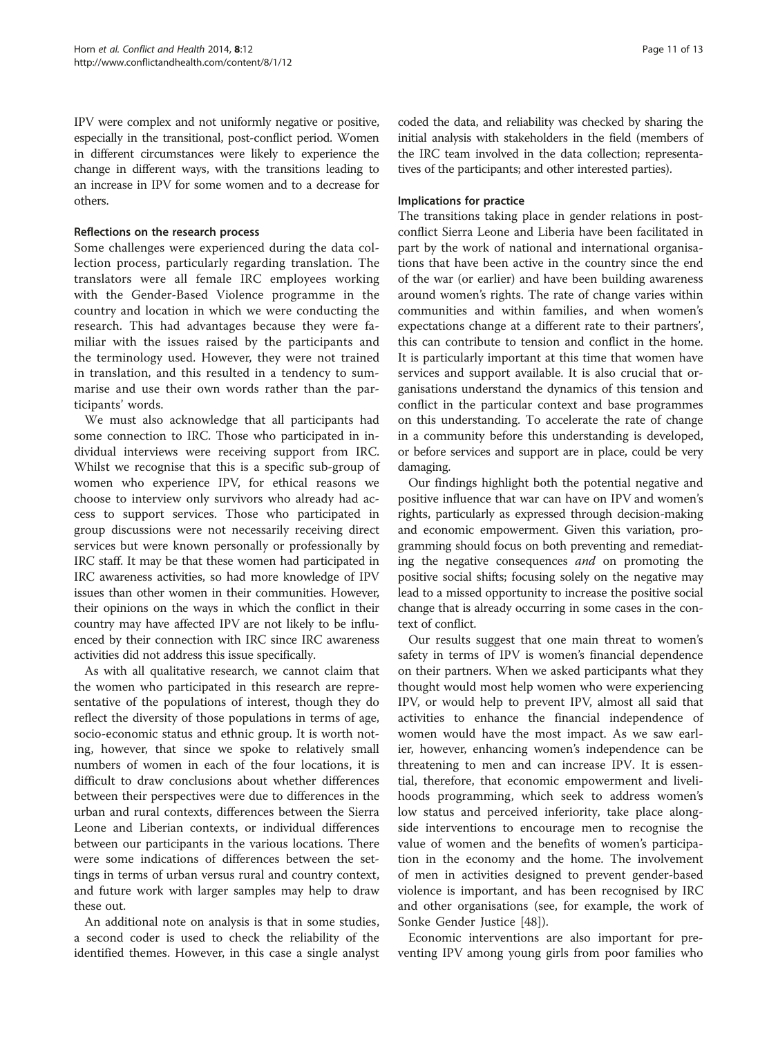IPV were complex and not uniformly negative or positive, especially in the transitional, post-conflict period. Women in different circumstances were likely to experience the change in different ways, with the transitions leading to an increase in IPV for some women and to a decrease for others.

#### Reflections on the research process

Some challenges were experienced during the data collection process, particularly regarding translation. The translators were all female IRC employees working with the Gender-Based Violence programme in the country and location in which we were conducting the research. This had advantages because they were familiar with the issues raised by the participants and the terminology used. However, they were not trained in translation, and this resulted in a tendency to summarise and use their own words rather than the participants' words.

We must also acknowledge that all participants had some connection to IRC. Those who participated in individual interviews were receiving support from IRC. Whilst we recognise that this is a specific sub-group of women who experience IPV, for ethical reasons we choose to interview only survivors who already had access to support services. Those who participated in group discussions were not necessarily receiving direct services but were known personally or professionally by IRC staff. It may be that these women had participated in IRC awareness activities, so had more knowledge of IPV issues than other women in their communities. However, their opinions on the ways in which the conflict in their country may have affected IPV are not likely to be influenced by their connection with IRC since IRC awareness activities did not address this issue specifically.

As with all qualitative research, we cannot claim that the women who participated in this research are representative of the populations of interest, though they do reflect the diversity of those populations in terms of age, socio-economic status and ethnic group. It is worth noting, however, that since we spoke to relatively small numbers of women in each of the four locations, it is difficult to draw conclusions about whether differences between their perspectives were due to differences in the urban and rural contexts, differences between the Sierra Leone and Liberian contexts, or individual differences between our participants in the various locations. There were some indications of differences between the settings in terms of urban versus rural and country context, and future work with larger samples may help to draw these out.

An additional note on analysis is that in some studies, a second coder is used to check the reliability of the identified themes. However, in this case a single analyst coded the data, and reliability was checked by sharing the initial analysis with stakeholders in the field (members of the IRC team involved in the data collection; representatives of the participants; and other interested parties).

#### Implications for practice

The transitions taking place in gender relations in postconflict Sierra Leone and Liberia have been facilitated in part by the work of national and international organisations that have been active in the country since the end of the war (or earlier) and have been building awareness around women's rights. The rate of change varies within communities and within families, and when women's expectations change at a different rate to their partners', this can contribute to tension and conflict in the home. It is particularly important at this time that women have services and support available. It is also crucial that organisations understand the dynamics of this tension and conflict in the particular context and base programmes on this understanding. To accelerate the rate of change in a community before this understanding is developed, or before services and support are in place, could be very damaging.

Our findings highlight both the potential negative and positive influence that war can have on IPV and women's rights, particularly as expressed through decision-making and economic empowerment. Given this variation, programming should focus on both preventing and remediating the negative consequences and on promoting the positive social shifts; focusing solely on the negative may lead to a missed opportunity to increase the positive social change that is already occurring in some cases in the context of conflict.

Our results suggest that one main threat to women's safety in terms of IPV is women's financial dependence on their partners. When we asked participants what they thought would most help women who were experiencing IPV, or would help to prevent IPV, almost all said that activities to enhance the financial independence of women would have the most impact. As we saw earlier, however, enhancing women's independence can be threatening to men and can increase IPV. It is essential, therefore, that economic empowerment and livelihoods programming, which seek to address women's low status and perceived inferiority, take place alongside interventions to encourage men to recognise the value of women and the benefits of women's participation in the economy and the home. The involvement of men in activities designed to prevent gender-based violence is important, and has been recognised by IRC and other organisations (see, for example, the work of Sonke Gender Justice [[48\]](#page-12-0)).

Economic interventions are also important for preventing IPV among young girls from poor families who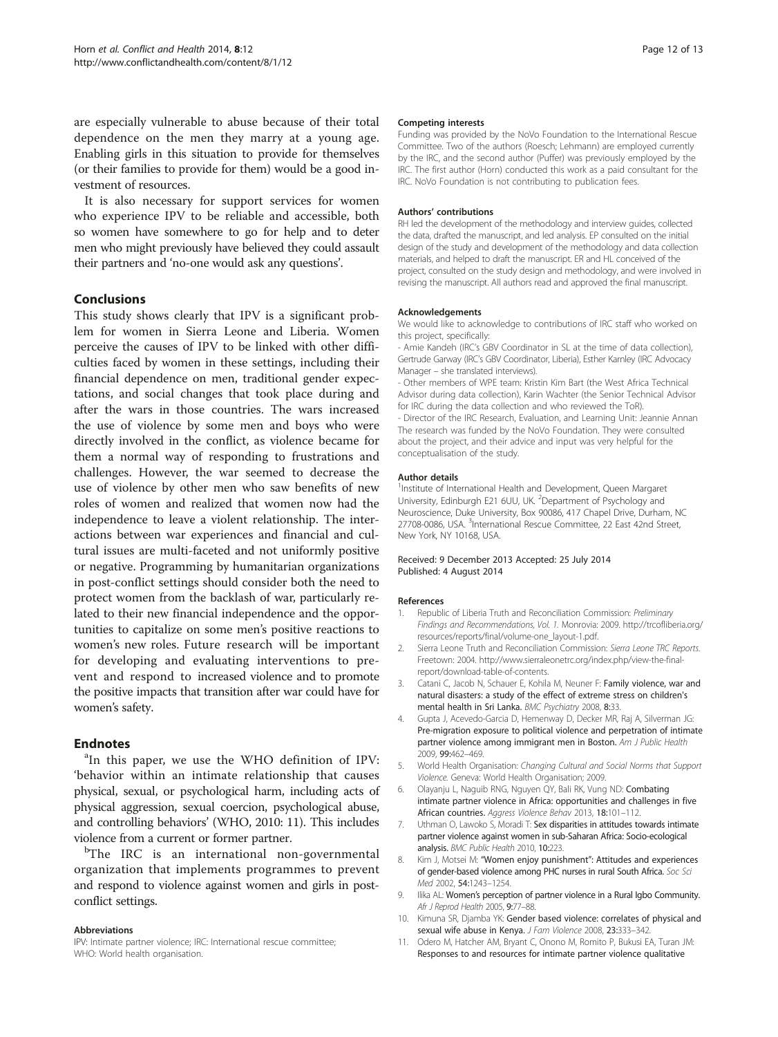<span id="page-11-0"></span>are especially vulnerable to abuse because of their total dependence on the men they marry at a young age. Enabling girls in this situation to provide for themselves (or their families to provide for them) would be a good investment of resources.

It is also necessary for support services for women who experience IPV to be reliable and accessible, both so women have somewhere to go for help and to deter men who might previously have believed they could assault their partners and 'no-one would ask any questions'.

#### Conclusions

This study shows clearly that IPV is a significant problem for women in Sierra Leone and Liberia. Women perceive the causes of IPV to be linked with other difficulties faced by women in these settings, including their financial dependence on men, traditional gender expectations, and social changes that took place during and after the wars in those countries. The wars increased the use of violence by some men and boys who were directly involved in the conflict, as violence became for them a normal way of responding to frustrations and challenges. However, the war seemed to decrease the use of violence by other men who saw benefits of new roles of women and realized that women now had the independence to leave a violent relationship. The interactions between war experiences and financial and cultural issues are multi-faceted and not uniformly positive or negative. Programming by humanitarian organizations in post-conflict settings should consider both the need to protect women from the backlash of war, particularly related to their new financial independence and the opportunities to capitalize on some men's positive reactions to women's new roles. Future research will be important for developing and evaluating interventions to prevent and respond to increased violence and to promote the positive impacts that transition after war could have for women's safety.

#### **Endnotes**

<sup>a</sup>In this paper, we use the WHO definition of IPV: 'behavior within an intimate relationship that causes physical, sexual, or psychological harm, including acts of physical aggression, sexual coercion, psychological abuse, and controlling behaviors' (WHO, 2010: 11). This includes violence from a current or former partner.

<sup>b</sup>The IRC is an international non-governmental organization that implements programmes to prevent and respond to violence against women and girls in postconflict settings.

#### Abbreviations

IPV: Intimate partner violence; IRC: International rescue committee; WHO: World health organisation.

#### Competing interests

Funding was provided by the NoVo Foundation to the International Rescue Committee. Two of the authors (Roesch; Lehmann) are employed currently by the IRC, and the second author (Puffer) was previously employed by the IRC. The first author (Horn) conducted this work as a paid consultant for the IRC. NoVo Foundation is not contributing to publication fees.

#### Authors' contributions

RH led the development of the methodology and interview guides, collected the data, drafted the manuscript, and led analysis. EP consulted on the initial design of the study and development of the methodology and data collection materials, and helped to draft the manuscript. ER and HL conceived of the project, consulted on the study design and methodology, and were involved in revising the manuscript. All authors read and approved the final manuscript.

#### Acknowledgements

We would like to acknowledge to contributions of IRC staff who worked on this project, specifically:

- Amie Kandeh (IRC's GBV Coordinator in SL at the time of data collection), Gertrude Garway (IRC's GBV Coordinator, Liberia), Esther Karnley (IRC Advocacy Manager – she translated interviews).

- Other members of WPE team: Kristin Kim Bart (the West Africa Technical Advisor during data collection), Karin Wachter (the Senior Technical Advisor for IRC during the data collection and who reviewed the ToR). - Director of the IRC Research, Evaluation, and Learning Unit: Jeannie Annan The research was funded by the NoVo Foundation. They were consulted about the project, and their advice and input was very helpful for the conceptualisation of the study.

#### Author details

<sup>1</sup>Institute of International Health and Development, Queen Margaret University, Edinburgh E21 6UU, UK. <sup>2</sup>Department of Psychology and Neuroscience, Duke University, Box 90086, 417 Chapel Drive, Durham, NC 27708-0086, USA. <sup>3</sup>International Rescue Committee, 22 East 42nd Street, New York, NY 10168, USA.

#### Received: 9 December 2013 Accepted: 25 July 2014 Published: 4 August 2014

#### References

- 1. Republic of Liberia Truth and Reconciliation Commission: Preliminary Findings and Recommendations, Vol. 1. Monrovia: 2009. [http://trcofliberia.org/](http://trcofliberia.org/resources/reports/final/volume-one_layout-1.pdf) [resources/reports/final/volume-one\\_layout-1.pdf](http://trcofliberia.org/resources/reports/final/volume-one_layout-1.pdf).
- 2. Sierra Leone Truth and Reconciliation Commission: Sierra Leone TRC Reports. Freetown: 2004. [http://www.sierraleonetrc.org/index.php/view-the-final](http://www.sierraleonetrc.org/index.php/view-the-final-report/download-table-of-contents)[report/download-table-of-contents](http://www.sierraleonetrc.org/index.php/view-the-final-report/download-table-of-contents).
- 3. Catani C, Jacob N, Schauer E, Kohila M, Neuner F: Family violence, war and natural disasters: a study of the effect of extreme stress on children's mental health in Sri Lanka. BMC Psychiatry 2008, 8:33.
- 4. Gupta J, Acevedo-Garcia D, Hemenway D, Decker MR, Raj A, Silverman JG: Pre-migration exposure to political violence and perpetration of intimate partner violence among immigrant men in Boston. Am J Public Health 2009, 99:462–469.
- 5. World Health Organisation: Changing Cultural and Social Norms that Support Violence. Geneva: World Health Organisation; 2009.
- 6. Olayanju L, Naguib RNG, Nguyen QY, Bali RK, Vung ND: Combating intimate partner violence in Africa: opportunities and challenges in five African countries. Aggress Violence Behav 2013, 18:101–112.
- 7. Uthman O, Lawoko S, Moradi T: Sex disparities in attitudes towards intimate partner violence against women in sub-Saharan Africa: Socio-ecological analysis. BMC Public Health 2010, 10:223.
- 8. Kim J, Motsei M: "Women enjoy punishment": Attitudes and experiences of gender-based violence among PHC nurses in rural South Africa. Soc Sci Med 2002, 54:1243–1254.
- 9. Ilika AL: Women's perception of partner violence in a Rural Igbo Community. Afr J Reprod Health 2005, 9:77–88.
- 10. Kimuna SR, Djamba YK: Gender based violence: correlates of physical and sexual wife abuse in Kenya. J Fam Violence 2008, 23:333-342.
- 11. Odero M, Hatcher AM, Bryant C, Onono M, Romito P, Bukusi EA, Turan JM: Responses to and resources for intimate partner violence qualitative